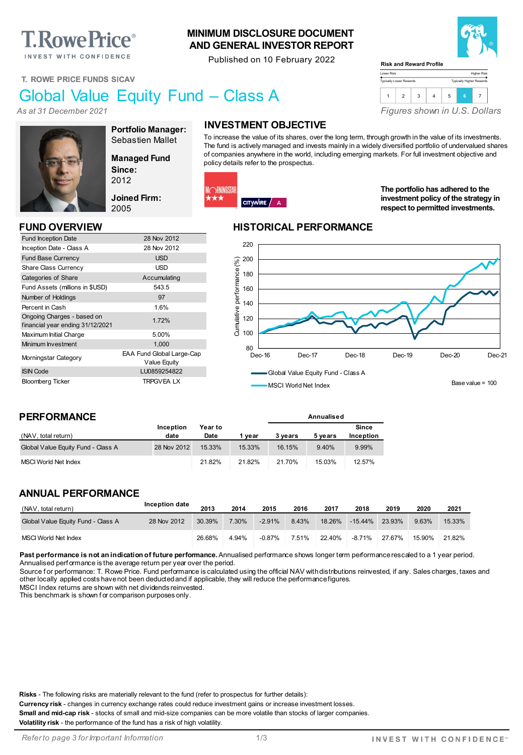# **T. Rowe Price**®

INVEST WITH CONFIDENCE

#### **MINIMUM DISCLOSURE DOCUMENT AND GENERAL INVESTOR REPORT**

Published on 10 February 2022



Higher Risk Typically Higher Rewards

**T. ROWE PRICE FUNDS SICAV**

# Global Value Equity Fund – Class A

*As at 31 December 2021*



**Portfolio Manager:** Sebastien Mallet

Value Equity

**Managed Fund Since:** 2012

**Joined Firm:** 2005

Fund Inception Date 28 Nov 2012 Inception Date - Class A 28 Nov 2012 Fund Base Currency **Example 20 SO EXAMPLE 2018** Share Class Currency **USD** Categories of Share Accumulating Fund Assets (millions in \$USD) 543.5 Number of Holdings 97 Percent in Cash 1.6%

In understanding Unarges - based on<br>
financial year ending 31/12/2021 Maximum Initial Charge 5.00% Minimum Investment 1,000 Morningstar Category EAA Fund Global Large-Cap

ISIN Code LU0859254822 Bloomberg Ticker TRPGVEA LX

# **INVESTMENT OBJECTIVE**

To increase the value of its shares, over the long term, through growth in the value of its investments. The fund is actively managed and invests mainly in a widely diversified portfolio of undervalued shares of companies anywhere in the world, including emerging markets. For full investment objective and policy details refer to the prospectus.

Lower Risk Typically Lower Rewards

**Risk and Reward Profile**



**The portfolio has adhered to the investment policy of the strategy in respect to permitted investments.**

*Figures shown in U.S. Dollars*

1 2 3 4 5 **<sup>6</sup>** <sup>7</sup>

#### **FUND OVERVIEW HISTORICAL PERFORMANCE**

**Annualised**



**PERFORMANCE**

Ongoing Charges - based on

| (NAV, total return)                | Inception<br>date | Year to<br>Date | 1 vear | 3 vears | 5 vears | <b>Since</b><br>Inception |
|------------------------------------|-------------------|-----------------|--------|---------|---------|---------------------------|
| Global Value Equity Fund - Class A | 28 Nov 2012       | 15.33%          | 15.33% | 16.15%  | 9.40%   | 9.99%                     |
| MSCI World Net Index               |                   | 21.82%          | 21.82% | 21.70%  | 15.03%  | 12.57%                    |

#### **ANNUAL PERFORMANCE**

| (NAV, total return)                | Inception date | 2013   | 2014  | 2015     | 2016  | 2017   | 2018       | 2019   | 2020   | 2021   |
|------------------------------------|----------------|--------|-------|----------|-------|--------|------------|--------|--------|--------|
| Global Value Equity Fund - Class A | 28 Nov 2012    | 30.39% | 7.30% | $-2.91%$ | 8.43% | 18.26% | $-15.44\%$ | 23.93% | 9.63%  | 15.33% |
| <b>MSCI World Net Index</b>        |                | 26.68% | 4.94% | $-0.87%$ | 7.51% | 22.40% | $-8.71\%$  | 27.67% | 15.90% | 21.82% |

Past performance is not an indication of future performance. Annualised performance shows longer term performance rescaled to a 1 year period. Annualised perf ormance is the average return per year over the period.

Source for performance: T. Rowe Price. Fund performance is calculated using the official NAV with distributions reinvested, if any. Sales charges, taxes and other locally applied costs have not been deducted and if applicable, they will reduce the performance figures.

MSCI Index returns are shown with net dividends reinvested.

This benchmark is shown f or comparison purposes only.

**Risks** - The following risks are materially relevant to the fund (refer to prospectus for further details):

**Currency risk** - changes in currency exchange rates could reduce investment gains or increase investment losses.

**Small and mid-cap risk** - stocks of small and mid-size companies can be more volatile than stocks of larger companies.

**Volatility risk** - the performance of the fund has a risk of high volatility.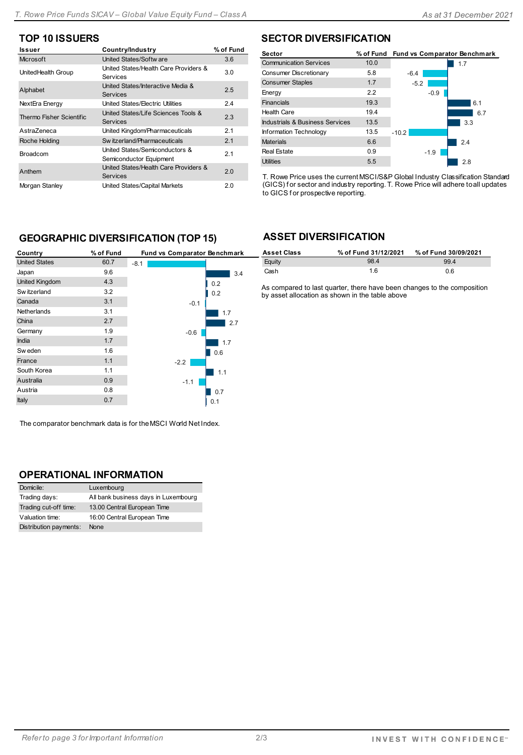# **TOP 10 ISSUERS**

| Country/Industry                                          | % of Fund |
|-----------------------------------------------------------|-----------|
| United States/Softw are                                   | 3.6       |
| United States/Health Care Providers &<br>Services         | 3.0       |
| United States/Interactive Media &<br>Services             | 2.5       |
| United States/Electric Utilities                          | 2.4       |
| United States/Life Sciences Tools &<br><b>Services</b>    | 2.3       |
| United Kingdom/Pharmaceuticals                            | 2.1       |
| Sw itzerland/Pharmaceuticals                              | 2.1       |
| United States/Semiconductors &<br>Semiconductor Equipment | 2.1       |
| United States/Health Care Providers &<br><b>Services</b>  | 2.0       |
| United States/Capital Markets                             | 2.0       |
|                                                           |           |

#### **SECTOR DIVERSIFICATION**

| Sector                          |      | % of Fund Fund vs Comparator Benchmark |     |
|---------------------------------|------|----------------------------------------|-----|
| <b>Communication Services</b>   | 10.0 |                                        | 1.7 |
| Consumer Discretionary          | 5.8  | $-6.4$                                 |     |
| <b>Consumer Staples</b>         | 1.7  | $-5.2$                                 |     |
| Energy                          | 2.2  | $-0.9$                                 |     |
| <b>Financials</b>               | 19.3 |                                        | 6.1 |
| <b>Health Care</b>              | 19.4 |                                        | 6.7 |
| Industrials & Business Services | 13.5 |                                        | 3.3 |
| Information Technology          | 13.5 | $-10.2$                                |     |
| <b>Materials</b>                | 6.6  |                                        | 2.4 |
| <b>Real Estate</b>              | 0.9  | $-1.9$                                 |     |
| <b>Utilities</b>                | 5.5  |                                        | 2.8 |

T. Rowe Price uses the current MSCI/S&P Global Industry Classification Standard (GICS) f or sector and industry reporting. T. Rowe Price will adhere to all updates to GICS f or prospective reporting.

### **GEOGRAPHIC DIVERSIFICATION (TOP 15)**

| Country               | % of Fund | Fund vs Comparator Benchmark |     |
|-----------------------|-----------|------------------------------|-----|
| <b>United States</b>  | 60.7      | $-8.1$                       |     |
| Japan                 | 9.6       |                              | 3.4 |
| <b>United Kingdom</b> | 4.3       |                              | 0.2 |
| Sw itzerland          | 3.2       |                              | 0.2 |
| Canada                | 3.1       | $-0.1$                       |     |
| <b>Netherlands</b>    | 3.1       |                              | 1.7 |
| China                 | 2.7       |                              | 2.7 |
| Germany               | 1.9       | $-0.6$                       |     |
| <b>India</b>          | 1.7       |                              | 1.7 |
| Sw eden               | 1.6       |                              | 0.6 |
| France                | 1.1       | $-2.2$                       |     |
| South Korea           | 1.1       |                              | 1.1 |
| Australia             | 0.9       | $-1.1$                       |     |
| Austria               | 0.8       |                              | 0.7 |
| Italy                 | 0.7       |                              | 0.1 |

The comparator benchmark data is for the MSCI World Net Index.

#### **OPERATIONAL INFORMATION**

| Domicile:              | Luxembourg                           |
|------------------------|--------------------------------------|
| Trading days:          | All bank business days in Luxembourg |
| Trading cut-off time:  | 13.00 Central European Time          |
| Valuation time:        | 16:00 Central European Time          |
| Distribution payments: | None                                 |

#### **ASSET DIVERSIFICATION**

| <b>Asset Class</b> | % of Fund 31/12/2021 | % of Fund 30/09/2021 |
|--------------------|----------------------|----------------------|
| Eauity             | 98.4                 | 99.4                 |
| Cash               | 1.6                  | 0.6                  |

As compared to last quarter, there have been changes to the composition by asset allocation as shown in the table above